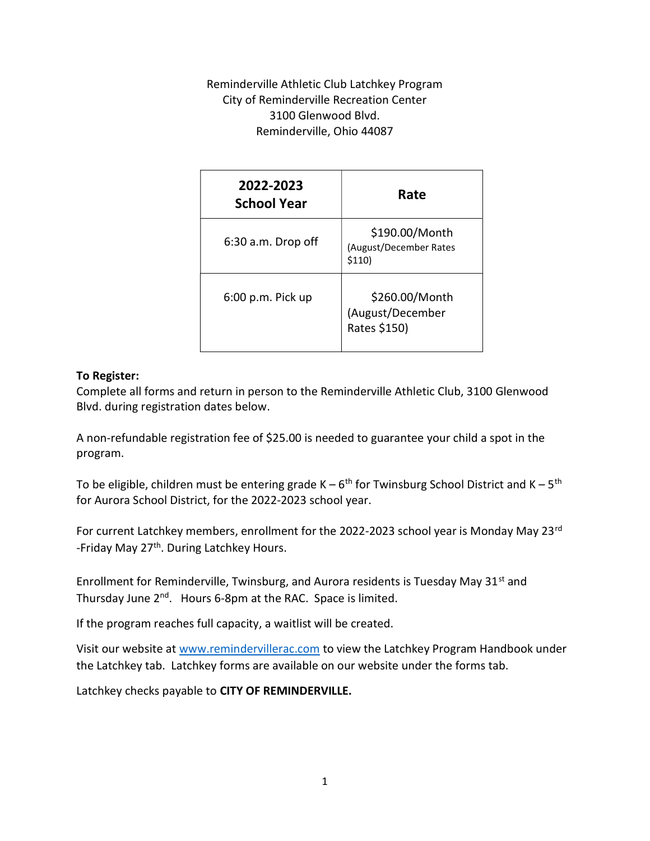Reminderville Athletic Club Latchkey Program City of Reminderville Recreation Center 3100 Glenwood Blvd. Reminderville, Ohio 44087

| 2022-2023<br><b>School Year</b> | Rate                                               |  |  |
|---------------------------------|----------------------------------------------------|--|--|
| $6:30$ a.m. Drop off            | \$190.00/Month<br>(August/December Rates<br>\$110) |  |  |
| 6:00 p.m. Pick up               | \$260.00/Month<br>(August/December<br>Rates \$150) |  |  |

### To Register:

Complete all forms and return in person to the Reminderville Athletic Club, 3100 Glenwood Blvd. during registration dates below.

A non-refundable registration fee of \$25.00 is needed to guarantee your child a spot in the program.

To be eligible, children must be entering grade  $K - 6^{th}$  for Twinsburg School District and  $K - 5^{th}$ for Aurora School District, for the 2022-2023 school year.

For current Latchkey members, enrollment for the 2022-2023 school year is Monday May 23rd -Friday May 27<sup>th</sup>. During Latchkey Hours.

Enrollment for Reminderville, Twinsburg, and Aurora residents is Tuesday May  $31<sup>st</sup>$  and Thursday June 2<sup>nd</sup>. Hours 6-8pm at the RAC. Space is limited.

If the program reaches full capacity, a waitlist will be created.

Visit our website at www.remindervillerac.com to view the Latchkey Program Handbook under the Latchkey tab. Latchkey forms are available on our website under the forms tab.

Latchkey checks payable to CITY OF REMINDERVILLE.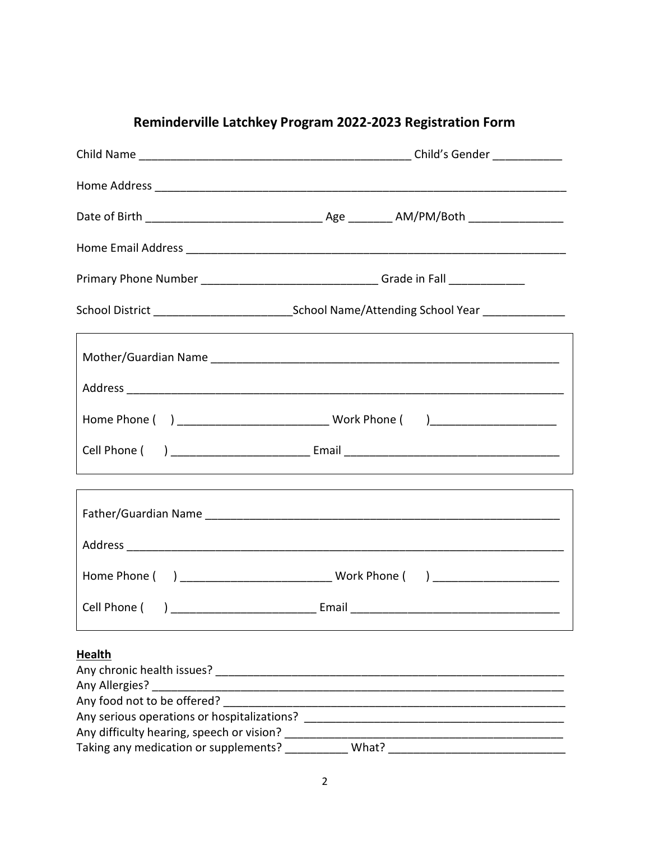| Primary Phone Number ________________________________Grade in Fall _____________                               |                                                                                  |  |  |
|----------------------------------------------------------------------------------------------------------------|----------------------------------------------------------------------------------|--|--|
|                                                                                                                |                                                                                  |  |  |
|                                                                                                                |                                                                                  |  |  |
|                                                                                                                |                                                                                  |  |  |
|                                                                                                                |                                                                                  |  |  |
|                                                                                                                | <u> 1990 - Johann Stoff, fransk politik (d. 1980)</u>                            |  |  |
|                                                                                                                | ,我们也不会有什么。""我们的人,我们也不会有什么?""我们的人,我们也不会有什么?""我们的人,我们也不会有什么?""我们的人,我们也不会有什么?""我们的人 |  |  |
|                                                                                                                |                                                                                  |  |  |
|                                                                                                                |                                                                                  |  |  |
|                                                                                                                |                                                                                  |  |  |
| <b>Health</b>                                                                                                  |                                                                                  |  |  |
| Any chronic health issues?                                                                                     |                                                                                  |  |  |
| Any Allergies? Any Allergies and the state of the state of the state of the state of the state of the state of |                                                                                  |  |  |
| Any food not to be offered?                                                                                    |                                                                                  |  |  |
| Any difficulty hearing, speech or vision?                                                                      |                                                                                  |  |  |
| Taking any medication or supplements?                                                                          | What?                                                                            |  |  |

# Reminderville Latchkey Program 2022-2023 Registration Form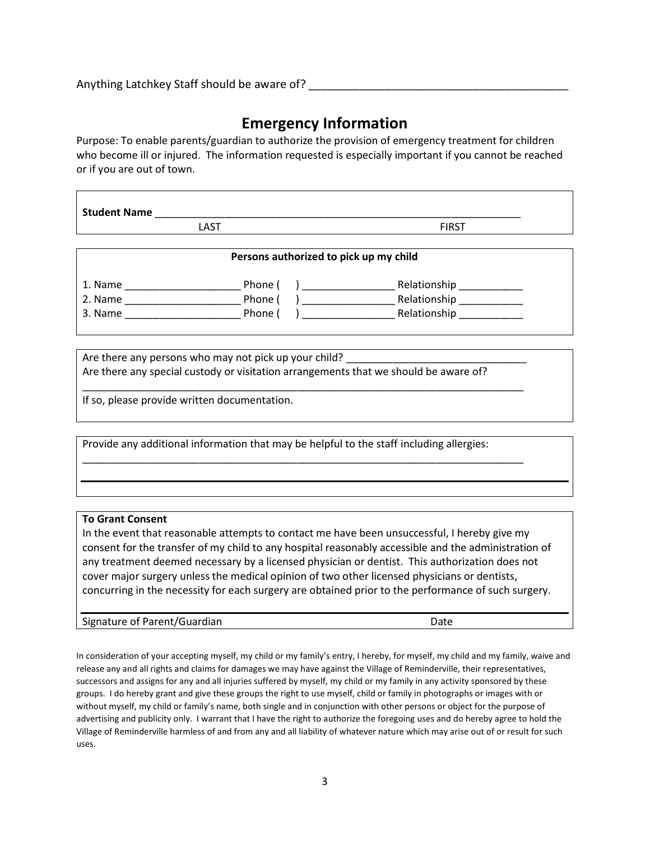Anything Latchkey Staff should be aware of?

## Emergency Information

Purpose: To enable parents/guardian to authorize the provision of emergency treatment for children who become ill or injured. The information requested is especially important if you cannot be reached or if you are out of town.

Student Name

LAST FIRST

| Persons authorized to pick up my child |         |              |  |  |  |
|----------------------------------------|---------|--------------|--|--|--|
| 1. Name                                | Phone   | Relationship |  |  |  |
| 2. Name                                | Phone ( | Relationship |  |  |  |
| 3. Name                                | Phone ( | Relationship |  |  |  |

Are there any persons who may not pick up your child? Are there any special custody or visitation arrangements that we should be aware of?

\_\_\_\_\_\_\_\_\_\_\_\_\_\_\_\_\_\_\_\_\_\_\_\_\_\_\_\_\_\_\_\_\_\_\_\_\_\_\_\_\_\_\_\_\_\_\_\_\_\_\_\_\_\_\_\_\_\_\_\_\_\_\_\_\_\_\_\_\_\_\_\_\_\_\_\_

\_\_\_\_\_\_\_\_\_\_\_\_\_\_\_\_\_\_\_\_\_\_\_\_\_\_\_\_\_\_\_\_\_\_\_\_\_\_\_\_\_\_\_\_\_\_\_\_\_\_\_\_\_\_\_\_\_\_\_\_\_\_\_\_\_\_\_\_\_\_\_\_\_\_\_\_

If so, please provide written documentation.

Provide any additional information that may be helpful to the staff including allergies:

#### To Grant Consent

In the event that reasonable attempts to contact me have been unsuccessful, I hereby give my consent for the transfer of my child to any hospital reasonably accessible and the administration of any treatment deemed necessary by a licensed physician or dentist. This authorization does not cover major surgery unless the medical opinion of two other licensed physicians or dentists, concurring in the necessity for each surgery are obtained prior to the performance of such surgery.

Signature of Parent/Guardian Date Date Date

In consideration of your accepting myself, my child or my family's entry, I hereby, for myself, my child and my family, waive and release any and all rights and claims for damages we may have against the Village of Reminderville, their representatives, successors and assigns for any and all injuries suffered by myself, my child or my family in any activity sponsored by these groups. I do hereby grant and give these groups the right to use myself, child or family in photographs or images with or without myself, my child or family's name, both single and in conjunction with other persons or object for the purpose of advertising and publicity only. I warrant that I have the right to authorize the foregoing uses and do hereby agree to hold the Village of Reminderville harmless of and from any and all liability of whatever nature which may arise out of or result for such uses.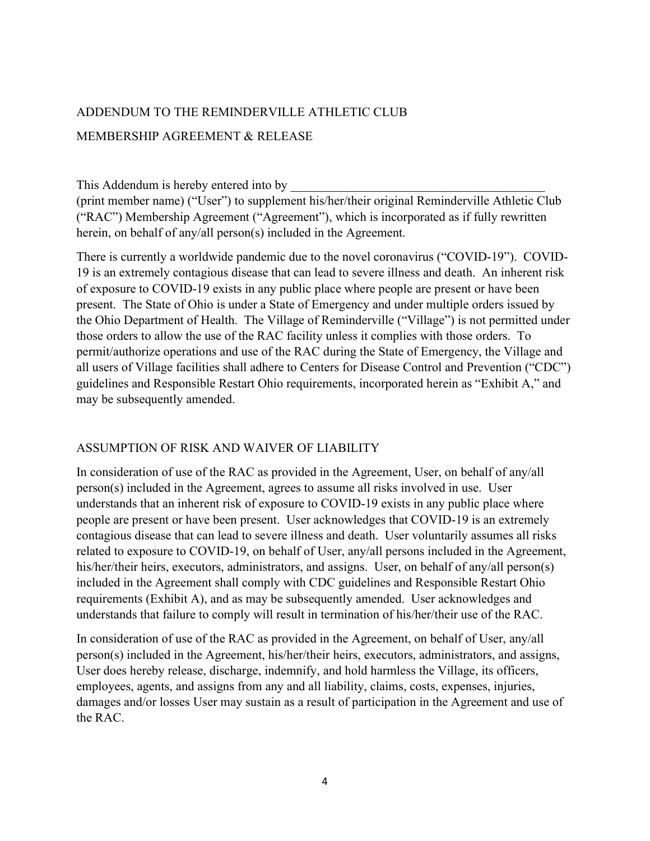# ADDENDUM TO THE REMINDERVILLE ATHLETIC CLUB MEMBERSHIP AGREEMENT & RELEASE

This Addendum is hereby entered into by

(print member name) ("User") to supplement his/her/their original Reminderville Athletic Club ("RAC") Membership Agreement ("Agreement"), which is incorporated as if fully rewritten herein, on behalf of any/all person(s) included in the Agreement.

There is currently a worldwide pandemic due to the novel coronavirus ("COVID-19"). COVID-19 is an extremely contagious disease that can lead to severe illness and death. An inherent risk of exposure to COVID-19 exists in any public place where people are present or have been present. The State of Ohio is under a State of Emergency and under multiple orders issued by the Ohio Department of Health. The Village of Reminderville ("Village") is not permitted under those orders to allow the use of the RAC facility unless it complies with those orders. To permit/authorize operations and use of the RAC during the State of Emergency, the Village and all users of Village facilities shall adhere to Centers for Disease Control and Prevention ("CDC") guidelines and Responsible Restart Ohio requirements, incorporated herein as "Exhibit A," and may be subsequently amended.

### ASSUMPTION OF RISK AND WAIVER OF LIABILITY

In consideration of use of the RAC as provided in the Agreement, User, on behalf of any/all person(s) included in the Agreement, agrees to assume all risks involved in use. User understands that an inherent risk of exposure to COVID-19 exists in any public place where people are present or have been present. User acknowledges that COVID-19 is an extremely contagious disease that can lead to severe illness and death. User voluntarily assumes all risks related to exposure to COVID-19, on behalf of User, any/all persons included in the Agreement, his/her/their heirs, executors, administrators, and assigns. User, on behalf of any/all person(s) included in the Agreement shall comply with CDC guidelines and Responsible Restart Ohio requirements (Exhibit A), and as may be subsequently amended. User acknowledges and understands that failure to comply will result in termination of his/her/their use of the RAC.

In consideration of use of the RAC as provided in the Agreement, on behalf of User, any/all person(s) included in the Agreement, his/her/their heirs, executors, administrators, and assigns, User does hereby release, discharge, indemnify, and hold harmless the Village, its officers, employees, agents, and assigns from any and all liability, claims, costs, expenses, injuries, damages and/or losses User may sustain as a result of participation in the Agreement and use of the RAC.